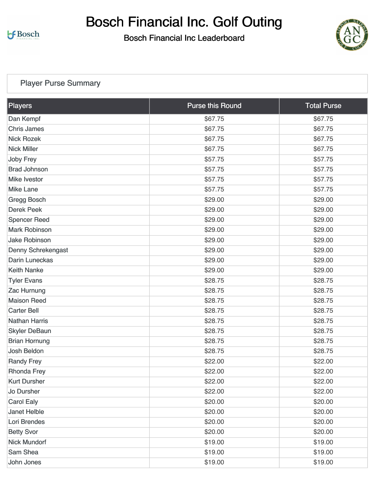# Bosch Financial Inc. Golf Outing

Bosch Financial Inc Leaderboard



#### [Player Purse Summary](https://static.golfgenius.com/v2tournaments/total_purse?league_id=8528885083967357489&round_id=8528954281460531729)

| Players                   | <b>Purse this Round</b> | <b>Total Purse</b> |
|---------------------------|-------------------------|--------------------|
| Dan Kempf                 | \$67.75                 | \$67.75            |
| <b>Chris James</b>        | \$67.75                 | \$67.75            |
| <b>Nick Rozek</b>         | \$67.75                 | \$67.75            |
| <b>Nick Miller</b>        | \$67.75                 | \$67.75            |
| <b>Joby Frey</b>          | \$57.75                 | \$57.75            |
| <b>Brad Johnson</b>       | \$57.75                 | \$57.75            |
| <b>Mike Ivestor</b>       | \$57.75                 | \$57.75            |
| <b>Mike Lane</b>          | \$57.75                 | \$57.75            |
| <b>Gregg Bosch</b>        | \$29.00                 | \$29.00            |
| <b>Derek Peek</b>         | \$29.00                 | \$29.00            |
| <b>Spencer Reed</b>       | \$29.00                 | \$29.00            |
| <b>Mark Robinson</b>      | \$29.00                 | \$29.00            |
| <b>Jake Robinson</b>      | \$29.00                 | \$29.00            |
| <b>Denny Schrekengast</b> | \$29.00                 | \$29.00            |
| <b>Darin Luneckas</b>     | \$29.00                 | \$29.00            |
| <b>Keith Nanke</b>        | \$29.00                 | \$29.00            |
| <b>Tyler Evans</b>        | \$28.75                 | \$28.75            |
| <b>Zac Hurnung</b>        | \$28.75                 | \$28.75            |
| <b>Maison Reed</b>        | \$28.75                 | \$28.75            |
| <b>Carter Bell</b>        | \$28.75                 | \$28.75            |
| <b>Nathan Harris</b>      | \$28.75                 | \$28.75            |
| <b>Skyler DeBaun</b>      | \$28.75                 | \$28.75            |
| <b>Brian Hornung</b>      | \$28.75                 | \$28.75            |
| <b>Josh Beldon</b>        | \$28.75                 | \$28.75            |
| <b>Randy Frey</b>         | \$22.00                 | \$22.00            |
| <b>Rhonda Frey</b>        | \$22.00                 | \$22.00            |
| <b>Kurt Dursher</b>       | \$22.00                 | \$22.00            |
| Jo Dursher                | \$22.00                 | \$22.00            |
| <b>Carol Ealy</b>         | \$20.00                 | \$20.00            |
| <b>Janet Helble</b>       | \$20.00                 | \$20.00            |
| Lori Brendes              | \$20.00                 | \$20.00            |
| <b>Betty Svor</b>         | \$20.00                 | \$20.00            |
| <b>Nick Mundorf</b>       | \$19.00                 | \$19.00            |
| Sam Shea                  | \$19.00                 | \$19.00            |
| John Jones                | \$19.00                 | \$19.00            |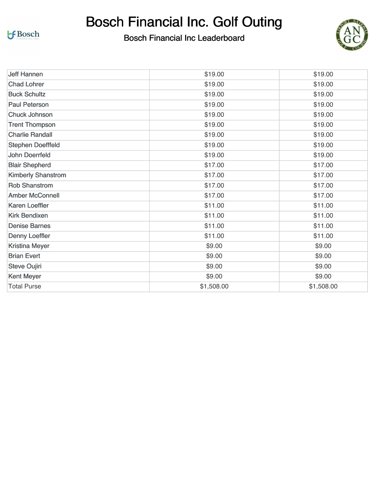Bosch Financial Inc. Golf Outing



| <b>Jeff Hannen</b>        | \$19.00    | \$19.00    |
|---------------------------|------------|------------|
| <b>Chad Lohrer</b>        | \$19.00    | \$19.00    |
| <b>Buck Schultz</b>       | \$19.00    | \$19.00    |
| <b>Paul Peterson</b>      | \$19.00    | \$19.00    |
| <b>Chuck Johnson</b>      | \$19.00    | \$19.00    |
| <b>Trent Thompson</b>     | \$19.00    | \$19.00    |
| <b>Charlie Randall</b>    | \$19.00    | \$19.00    |
| <b>Stephen Doefffeld</b>  | \$19.00    | \$19.00    |
| <b>John Doerrfeld</b>     | \$19.00    | \$19.00    |
| <b>Blair Shepherd</b>     | \$17.00    | \$17.00    |
| <b>Kimberly Shanstrom</b> | \$17.00    | \$17.00    |
| <b>Rob Shanstrom</b>      | \$17.00    | \$17.00    |
| <b>Amber McConnell</b>    | \$17.00    | \$17.00    |
| <b>Karen Loeffler</b>     | \$11.00    | \$11.00    |
| <b>Kirk Bendixen</b>      | \$11.00    | \$11.00    |
| <b>Denise Barnes</b>      | \$11.00    | \$11.00    |
| <b>Denny Loeffler</b>     | \$11.00    | \$11.00    |
| <b>Kristina Meyer</b>     | \$9.00     | \$9.00     |
| <b>Brian Evert</b>        | \$9.00     | \$9.00     |
| <b>Steve Oujiri</b>       | \$9.00     | \$9.00     |
| <b>Kent Meyer</b>         | \$9.00     | \$9.00     |
| <b>Total Purse</b>        | \$1,508.00 | \$1,508.00 |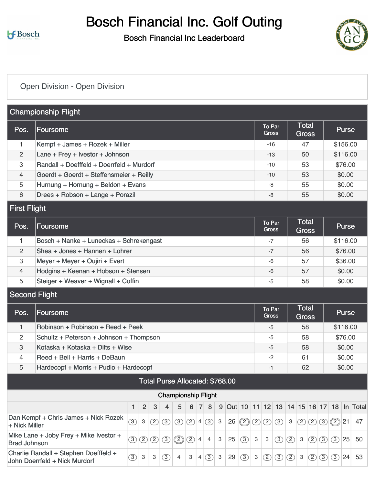## Bosch Financial Inc. Golf Outing

### Bosch Financial Inc Leaderboard



## [Open Division - Open Division](https://static.golfgenius.com/v2tournaments/8529002976155567083?called_from=&round_index=1)

|                      | <b>Championship Flight</b>                                             |               |                |               |               |                                 |               |                |             |              |    |                        |               |                        |                              |               |                              |               |               |               |              |                                         |
|----------------------|------------------------------------------------------------------------|---------------|----------------|---------------|---------------|---------------------------------|---------------|----------------|-------------|--------------|----|------------------------|---------------|------------------------|------------------------------|---------------|------------------------------|---------------|---------------|---------------|--------------|-----------------------------------------|
| Pos.                 | Foursome                                                               |               |                |               |               |                                 |               |                |             |              |    |                        |               | To Par<br><b>Gross</b> |                              |               | <b>Total</b><br><b>Gross</b> |               |               |               | <b>Purse</b> |                                         |
| 1.                   | Kempf + James + Rozek + Miller                                         |               |                |               |               |                                 |               |                |             |              |    |                        |               | $-16$                  |                              |               | 47                           |               |               |               | \$156.00     |                                         |
| $\overline{c}$       | Lane + Frey + Ivestor + Johnson                                        |               |                |               |               |                                 |               |                |             |              |    |                        |               | $-13$                  |                              |               | 50                           |               |               |               | \$116.00     |                                         |
| 3                    | Randall + Doefffeld + Doerrfeld + Murdorf                              |               |                |               |               |                                 |               |                |             |              |    |                        |               | $-10$                  |                              |               | 53                           |               |               |               | \$76.00      |                                         |
| 4                    | Goerdt + Goerdt + Steffensmeier + Reilly                               |               |                |               |               |                                 |               |                |             |              |    |                        |               | $-10$                  |                              |               | 53                           |               |               |               | \$0.00       |                                         |
| 5                    | Hurnung + Hornung + Beldon + Evans                                     |               |                |               |               |                                 |               |                |             |              |    |                        |               | -8                     |                              |               | 55                           |               |               |               | \$0.00       |                                         |
| 6                    | Drees + Robson + Lange + Porazil                                       |               |                |               |               |                                 |               |                |             |              |    |                        |               | $-8$                   |                              |               | 55                           |               |               |               | \$0.00       |                                         |
| <b>First Flight</b>  |                                                                        |               |                |               |               |                                 |               |                |             |              |    |                        |               |                        |                              |               |                              |               |               |               |              |                                         |
| Pos.                 | Foursome                                                               |               |                |               |               |                                 |               |                |             |              |    | To Par<br><b>Gross</b> |               |                        | <b>Total</b><br><b>Gross</b> |               |                              |               | <b>Purse</b>  |               |              |                                         |
| 1.                   | Bosch + Nanke + Luneckas + Schrekengast                                |               |                |               |               |                                 |               |                |             |              |    |                        |               | $-7$                   |                              |               | 56                           |               |               |               | \$116.00     |                                         |
| 2                    | Shea + Jones + Hannen + Lohrer                                         |               |                |               |               |                                 |               |                |             |              |    |                        |               | $-7$                   |                              |               | 56                           |               |               |               | \$76.00      |                                         |
| 3                    | Meyer + Meyer + Oujiri + Evert                                         |               |                |               |               |                                 |               |                |             |              |    |                        |               | -6                     |                              |               | 57                           |               |               |               | \$36.00      |                                         |
| 4                    | Hodgins + Keenan + Hobson + Stensen                                    |               |                |               |               |                                 |               |                |             |              |    |                        |               | $-6$                   |                              |               | 57                           |               |               |               | \$0.00       |                                         |
| 5                    | Steiger + Weaver + Wignall + Coffin                                    |               |                |               |               |                                 |               |                |             |              |    |                        |               | -5                     |                              |               | 58                           |               |               |               | \$0.00       |                                         |
| <b>Second Flight</b> |                                                                        |               |                |               |               |                                 |               |                |             |              |    |                        |               |                        |                              |               |                              |               |               |               |              |                                         |
| Pos.                 | Foursome                                                               |               |                |               |               |                                 |               |                |             |              |    |                        |               | To Par<br><b>Gross</b> |                              |               | <b>Total</b><br><b>Gross</b> |               |               |               | <b>Purse</b> |                                         |
| 1                    | Robinson + Robinson + Reed + Peek                                      |               |                |               |               |                                 |               |                |             |              |    |                        |               | $-5$                   |                              |               | 58                           |               |               |               | \$116.00     |                                         |
| 2                    | Schultz + Peterson + Johnson + Thompson                                |               |                |               |               |                                 |               |                |             |              |    |                        |               | -5                     |                              |               | 58                           |               |               |               | \$76.00      |                                         |
| 3                    | Kotaska + Kotaska + Dilts + Wise                                       |               |                |               |               |                                 |               |                |             |              |    |                        |               | $-5$                   |                              |               | 58                           |               |               |               | \$0.00       |                                         |
| $\overline{4}$       | Reed + Bell + Harris + DeBaun                                          |               |                |               |               |                                 |               |                |             |              |    |                        |               | $-2$                   |                              |               | 61                           |               |               |               | \$0.00       |                                         |
| 5                    | Hardecopf + Morris + Pudlo + Hardecopf                                 |               |                |               |               |                                 |               |                |             |              |    |                        |               | $-1$                   |                              |               | 62                           |               |               |               | \$0.00       |                                         |
|                      |                                                                        |               |                |               |               | Total Purse Allocated: \$768.00 |               |                |             |              |    |                        |               |                        |                              |               |                              |               |               |               |              |                                         |
|                      |                                                                        |               |                |               |               | <b>Championship Flight</b>      |               |                |             |              |    |                        |               |                        |                              |               |                              |               |               |               |              |                                         |
|                      |                                                                        | 1             | $\overline{c}$ | 3             | 4             | 5                               | 6             | 7 <sup>1</sup> | 8           | 9            |    |                        |               |                        |                              |               |                              |               |               |               |              | Out 10 11 12 13 14 15 16 17 18 In Total |
| + Nick Miller        | Dan Kempf + Chris James + Nick Rozek                                   | $\circled{3}$ | $\mathbf{3}$   | ②             | $\circled{3}$ | $\circled{3}$                   | $\circled{2}$ |                | $4\sqrt{3}$ | $\mathbf{3}$ |    | $26$ $\circled{2}$     | $\circled{2}$ | $\circled{2}$          | $\circled{3}$                | $\mathbf{3}$  | (2)                          |               |               | 200221        |              | 47                                      |
| <b>Brad Johnson</b>  | Mike Lane + Joby Frey + Mike Ivestor +                                 | $\circled{3}$ | $\circled{2}$  | $\circled{2}$ | $\circled{3}$ | ◎                               | $\circled{2}$ | $\overline{4}$ | 4           | 3            | 25 | $\circled{3}$          | 3             | 3                      | $\circled{3}$                | $\circled{2}$ | 3                            | ②             | $\circled{3}$ | $\circled{3}$ | 25           | 50                                      |
|                      | Charlie Randall + Stephen Doefffeld +<br>John Doerrfeld + Nick Murdorf | $\circled{3}$ | $\mathbf{3}$   | 3             | (3)           | 4                               | 3             |                | 4(3)        | 3            | 29 | $\circled{3}$          | $\mathbf{3}$  | $\circled{2}$          | $\circled{3}$                | $\circled{2}$ | 3                            | $\circled{2}$ | $\circled{3}$ | (3)           | 24           | 53                                      |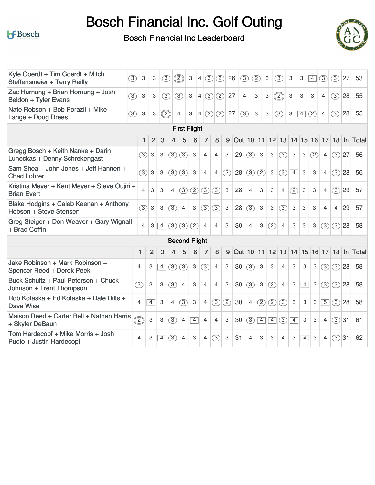# Bosch Financial Inc. Golf Outing



| Kyle Goerdt + Tim Goerdt + Mitch<br>Steffensmeier + Terry Reilly   | (3)                      | 3                         | 3                         | (3)                       |                | ②                        | 3              | (3)<br>$\overline{4}$           | (2)            | 26  |           | (3)            | $\circled{2}$             | $\ensuremath{\mathsf{3}}$ | (3)               | 3           | 3              | $\boxed{4}$ | (3)            | (3)            | 27 | 53                            |
|--------------------------------------------------------------------|--------------------------|---------------------------|---------------------------|---------------------------|----------------|--------------------------|----------------|---------------------------------|----------------|-----|-----------|----------------|---------------------------|---------------------------|-------------------|-------------|----------------|-------------|----------------|----------------|----|-------------------------------|
| Zac Hurnung + Brian Hornung + Josh<br>Beldon + Tyler Evans         | (3)                      | $\ensuremath{\mathsf{3}}$ | 3                         | (3)                       |                | (3)                      | 3              | $\circled{3}$<br>$\overline{4}$ | (2)            | 27  |           | $\overline{4}$ | 3                         | 3                         | $\circled{2}$     | 3           | 3              | 3           | 4              | (3)            | 28 | 55                            |
| Nate Robson + Bob Porazil + Mike<br>Lange + Doug Drees             | (3)                      | 3                         | 3                         | ②                         |                | $\overline{4}$           | 3              | (3)<br>$\overline{4}$           | (2)            | 27  |           | (3)            | 3                         | $\ensuremath{\mathsf{3}}$ | (3)               | 3           | $\overline{4}$ | (2)         | $\overline{4}$ | (3)            | 28 | 55                            |
|                                                                    |                          |                           |                           |                           |                | <b>First Flight</b>      |                |                                 |                |     |           |                |                           |                           |                   |             |                |             |                |                |    |                               |
|                                                                    |                          | $\mathbf{1}$              | $\overline{2}$            | 3                         | 4              | 5                        | 6              | 7                               | 8              | 9   | Out 10 11 |                |                           |                           | 12 13 14 15 16 17 |             |                |             |                |                |    | 18 In Total                   |
| Gregg Bosch + Keith Nanke + Darin<br>Luneckas + Denny Schrekengast |                          | $\circled{3}$             | 3                         | 3                         | (3)            | (3)                      | 3              | $\overline{4}$                  | $\overline{4}$ | 3   | 29        | (3)            | $\ensuremath{\mathsf{3}}$ | 3                         | (3)               | 3           | 3              | (2)         | 4              | $(3)$ 27       |    | 56                            |
| Sam Shea + John Jones + Jeff Hannen +<br><b>Chad Lohrer</b>        |                          | $\circled{3}$             | $\,3$                     | 3                         | (3)            | (3)                      | 3              | $\overline{4}$                  | $\overline{4}$ | (2) | 28        | $\circled{3}$  | (2)                       | $\ensuremath{\mathsf{3}}$ | (3)               | $\boxed{4}$ | 3              | 3           | $\overline{4}$ | (3)            | 28 | 56                            |
| Kristina Meyer + Kent Meyer + Steve Oujiri +<br><b>Brian Evert</b> |                          | $\overline{4}$            | 3                         | 3                         | $\overline{4}$ | (3)                      | (2)            | $\circled{3}$                   | (3)            | 3   | 28        | $\overline{4}$ | 3                         | 3                         | $\overline{4}$    | (2)         | 3              | 3           | 4              | $(3)$ 29       |    | 57                            |
| Blake Hodgins + Caleb Keenan + Anthony<br>Hobson + Steve Stensen   |                          | $\circled{3}$             | $\ensuremath{\mathsf{3}}$ | $\ensuremath{\mathsf{3}}$ | (3)            | $\overline{4}$           | 3              | (3)                             | (3)            | 3   | 28        | (3)            | 3                         | 3                         | (3)               | 3           | 3              | 3           | $\overline{4}$ | $\overline{4}$ | 29 | 57                            |
| Greg Steiger + Don Weaver + Gary Wignall<br>+ Brad Coffin          |                          | $\overline{4}$            | 3                         | $\overline{4}$            | (3)            | (3)                      | (2)            | $\overline{4}$                  | $\overline{4}$ | 3   | 30        | $\overline{4}$ | 3                         | (2)                       | $\overline{4}$    | 3           | 3              | 3           | $\circled{3}$  | (3)28          |    | 58                            |
|                                                                    |                          |                           |                           |                           |                | <b>Second Flight</b>     |                |                                 |                |     |           |                |                           |                           |                   |             |                |             |                |                |    |                               |
|                                                                    |                          | 1                         | $\overline{2}$            | 3                         | 4              | 5                        | 6              | 7                               | 8              | 9   | Out 10 11 |                |                           |                           |                   |             |                |             |                |                |    | 12 13 14 15 16 17 18 In Total |
| Jake Robinson + Mark Robinson +<br>Spencer Reed + Derek Peek       | 4                        |                           | 3                         | $\overline{4}$            | $\circled{3}$  | (3)                      | 3              | (3)                             | $\overline{4}$ | 3   | 30        | (3)            | $\mathbf{3}$              | 3                         | $\overline{4}$    | 3           | 3              | 3           | (3)            | (3)28          |    | 58                            |
| Buck Schultz + Paul Peterson + Chuck<br>Johnson + Trent Thompson   | (3)                      |                           | 3                         | 3                         | (3)            | $\overline{4}$           | 3              | $\overline{4}$                  | $\overline{4}$ | 3   | 30        | (3)            | $\mathbf{3}$              | (2)                       | $\overline{4}$    | 3           | $\overline{4}$ | 3           | (3)            | (3)28          |    | 58                            |
| Rob Kotaska + Ed Kotaska + Dale Dilts +<br><b>Dave Wise</b>        | $\overline{\mathcal{A}}$ |                           | $\overline{4}$            | 3                         | 4              | (3)                      | 3              | 4                               | (3)            | (2) | 30        | 4              | (2)                       | (2)                       | (3)               | 3           | 3              | 3           | $\overline{5}$ | $(3)$ 28       |    | 58                            |
| Maison Reed + Carter Bell + Nathan Harris<br>+ Skyler DeBaun       | $^{\circledR}$           |                           | 3                         | 3                         | (3)            | $\overline{4}$           | $\overline{4}$ | $\overline{4}$                  | $\overline{4}$ | 3   | 30        | (3)            | $\overline{4}$            | $\overline{4}$            | (3)               | $\sqrt{4}$  | 3              | 3           | 4              | (3)31          |    | 61                            |
| Tom Hardecopf + Mike Morris + Josh<br>Pudlo + Justin Hardecopf     | $\overline{4}$           |                           | З                         | $\overline{4}$            | (3)            | $\overline{\mathcal{A}}$ | 3              | $\overline{4}$                  | $\circled{3}$  | 3   | 31        | $\overline{4}$ | 3                         | 3                         | $\overline{4}$    | 3           | $\overline{4}$ | 3           | 4              | (3)31          |    | 62                            |
|                                                                    |                          |                           |                           |                           |                |                          |                |                                 |                |     |           |                |                           |                           |                   |             |                |             |                |                |    |                               |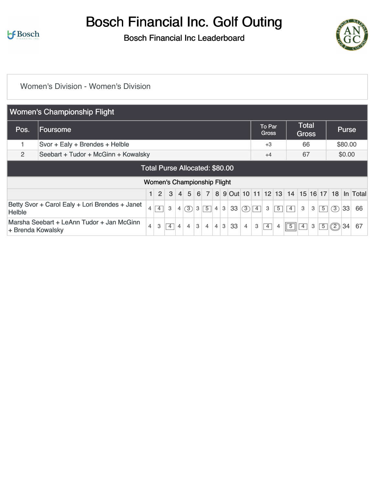Bosch Financial Inc. Golf Outing

Bosch Financial Inc Leaderboard



#### [Women's Division - Women's Division](https://static.golfgenius.com/v2tournaments/8529004878087881708?called_from=&round_index=1)

|                   | <b>Women's Championship Flight</b>             |                |                |                                    |         |                |          |                  |                |                |    |                |            |                               |                |             |                              |   |             |     |              |                                             |
|-------------------|------------------------------------------------|----------------|----------------|------------------------------------|---------|----------------|----------|------------------|----------------|----------------|----|----------------|------------|-------------------------------|----------------|-------------|------------------------------|---|-------------|-----|--------------|---------------------------------------------|
| Pos.              | <b>IFoursome</b>                               |                |                |                                    |         |                |          |                  |                |                |    |                |            | <b>To Par</b><br><b>Gross</b> |                |             | <b>Total</b><br><b>Gross</b> |   |             |     | <b>Purse</b> |                                             |
|                   | Svor + Ealy + Brendes + Helble                 |                |                |                                    |         |                |          |                  |                |                |    |                |            | $+3$                          |                |             | 66                           |   |             |     | \$80.00      |                                             |
| 2                 | Seebart + Tudor + McGinn + Kowalsky            |                |                |                                    |         |                |          |                  |                |                |    |                |            | $+4$                          |                |             | 67                           |   |             |     | \$0.00       |                                             |
|                   |                                                |                |                | Total Purse Allocated: \$80.00     |         |                |          |                  |                |                |    |                |            |                               |                |             |                              |   |             |     |              |                                             |
|                   |                                                |                |                | <b>Women's Championship Flight</b> |         |                |          |                  |                |                |    |                |            |                               |                |             |                              |   |             |     |              |                                             |
|                   |                                                |                | $\overline{2}$ | 3                                  | $\vert$ | 5 <sup>1</sup> | $6 \mid$ | $\overline{7}$   |                |                |    |                |            |                               |                |             |                              |   |             |     |              | 8 9 Out 10 11 12 13 14 15 16 17 18 In Total |
| <b>Helble</b>     | Betty Svor + Carol Ealy + Lori Brendes + Janet | $\overline{4}$ | $\boxed{4}$    | 3                                  | 4       | (3)            |          | $3\vert 5 \vert$ | $\overline{4}$ | 3 <sup>1</sup> | 33 | (3)            | $\sqrt{4}$ | 3                             | $\overline{5}$ | $\boxed{4}$ | $\mathbf{3}$                 | 3 | $\boxed{5}$ | (3) | 33           | 66                                          |
| + Brenda Kowalsky | Marsha Seebart + LeAnn Tudor + Jan McGinn      | $\overline{4}$ | 3              | 4                                  | 4       | $\overline{4}$ | 3        | $\overline{4}$   | $\overline{4}$ | 3              | 33 | $\overline{4}$ | 3          | $\overline{4}$                | 4              | $\sqrt{5}$  | $\overline{4}$               | 3 | $\sqrt{5}$  | ◎   | 34           | 67                                          |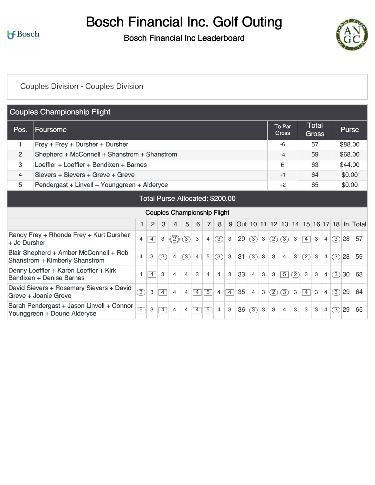Bosch Financial Inc. Golf Outing

Bosch Financial Inc Leaderboard



## [Couples Division - Couples Division](https://static.golfgenius.com/v2tournaments/8529006025615901677?called_from=&round_index=1)

|              | <b>Couples Championship Flight</b>                                              |                |                |                |                                    |                |                |                |                |                |    |                |                           |               |                        |               |                |                              |                |               |              |                                         |
|--------------|---------------------------------------------------------------------------------|----------------|----------------|----------------|------------------------------------|----------------|----------------|----------------|----------------|----------------|----|----------------|---------------------------|---------------|------------------------|---------------|----------------|------------------------------|----------------|---------------|--------------|-----------------------------------------|
| Pos.         | Foursome                                                                        |                |                |                |                                    |                |                |                |                |                |    |                |                           |               | To Par<br><b>Gross</b> |               |                | <b>Total</b><br><b>Gross</b> |                |               | <b>Purse</b> |                                         |
| 1            | Frey + Frey + Dursher + Dursher                                                 |                |                |                |                                    |                |                |                |                |                |    |                |                           |               | $-6$                   |               |                | 57                           |                |               | \$88.00      |                                         |
| 2            | Shepherd + McConnell + Shanstrom + Shanstrom                                    |                |                |                |                                    |                |                |                |                |                |    |                |                           |               | $-4$                   |               |                | 59                           |                |               | \$68.00      |                                         |
| 3            | Loeffler + Loeffler + Bendixen + Barnes                                         |                |                |                |                                    |                |                |                |                |                |    |                |                           |               | Е                      |               |                | 63                           |                |               | \$44.00      |                                         |
| 4            | Sievers + Sievers + Greve + Greve                                               |                |                |                |                                    |                |                |                |                |                |    |                |                           |               | $+1$                   |               |                | 64                           |                |               | \$0.00       |                                         |
| 5            | Pendergast + Linvell + Younggreen + Alderyce                                    |                |                |                |                                    |                |                |                |                |                |    |                |                           |               | $+2$                   |               |                | 65                           |                |               | \$0.00       |                                         |
|              |                                                                                 |                |                |                | Total Purse Allocated: \$200.00    |                |                |                |                |                |    |                |                           |               |                        |               |                |                              |                |               |              |                                         |
|              |                                                                                 |                |                |                | <b>Couples Championship Flight</b> |                |                |                |                |                |    |                |                           |               |                        |               |                |                              |                |               |              |                                         |
|              |                                                                                 | 1.             | $\overline{2}$ | 3              | 4                                  | 5              | 6              |                | 8              | 9              |    |                |                           |               |                        |               |                |                              |                |               |              | Out 10 11 12 13 14 15 16 17 18 In Total |
| + Jo Dursher | Randy Frey + Rhonda Frey + Kurt Dursher                                         | 4              | $\overline{4}$ | 3              | $\circled{2}$                      | (3)            | $\mathbf{3}$   | 4              | (3)            | $\mathbf{3}$   | 29 | (3)            | 3                         | $\circled{2}$ | (3)                    | 3             | $\overline{4}$ | 3                            | $\overline{4}$ | (3)           | 28           | 57                                      |
|              | Blair Shepherd + Amber McConnell + Rob<br><b>Shanstrom + Kimberly Shanstrom</b> | 4              | 3              | $\circled{2}$  | $\overline{4}$                     | 3              | $\overline{4}$ | $\overline{5}$ | 3)             | 3              | 31 | (3)            | 3                         | 3             | 4                      | 3             | $\circled{2}$  | 3                            | $\overline{4}$ | (3)           | 28           | 59                                      |
|              | Denny Loeffler + Karen Loeffler + Kirk<br>Bendixen + Denise Barnes              | 4              | 4              | 3              | 4                                  | $\overline{4}$ | 3              | $\overline{4}$ | $\overline{4}$ | 3              | 33 | $\overline{4}$ | 3                         | $\,3$         | $\boxed{5}$            | $\circled{2}$ | 3              | 3                            | $\overline{4}$ | $\circled{3}$ | 30           | 63                                      |
|              | David Sievers + Rosemary Sievers + David<br>Greve + Joanie Greve                | $\circled{3}$  | 3              | $\overline{4}$ | $\overline{4}$                     | $\overline{4}$ | $\overline{4}$ | $\overline{5}$ | $\overline{4}$ | $\overline{4}$ | 35 | $\overline{4}$ | $\ensuremath{\mathsf{3}}$ | $\circled{2}$ | $\circled{3}$          | 3             | $\overline{4}$ | 3                            | $\overline{4}$ | (3)           | 29           | 64                                      |
|              | Sarah Pendergast + Jason Linvell + Connor<br>Younggreen + Doune Alderyce        | $\overline{5}$ | 3              | $\overline{4}$ | $\overline{4}$                     | $\overline{4}$ | $\overline{4}$ | $\overline{5}$ | 4              | 3              | 36 | (3)            | 3                         | 3             | 4                      | 3             | 3              | 3                            | $\overline{4}$ | (3)           | 29           | 65                                      |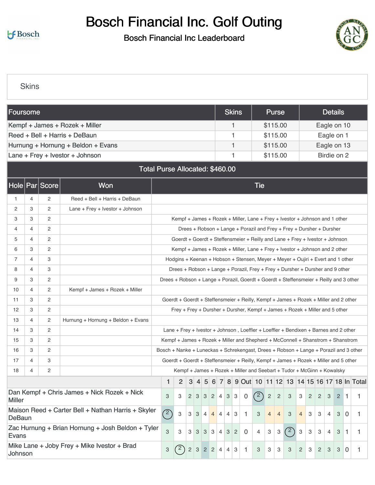# Bosch Financial Inc. Golf Outing

### Bosch Financial Inc Leaderboard



**[Skins](https://static.golfgenius.com/v2tournaments/8529008135887684593?called_from=&round_index=1)** 

| Foursome       |   |                    |                                                                                                                                                                                                                        |                                                                                       |               |                |   |                |   |                |                | <b>Skins</b>   |                |                                                                                        | <b>Purse</b>              |                |     |                           |                |                |   | <b>Details</b> |    |                                             |
|----------------|---|--------------------|------------------------------------------------------------------------------------------------------------------------------------------------------------------------------------------------------------------------|---------------------------------------------------------------------------------------|---------------|----------------|---|----------------|---|----------------|----------------|----------------|----------------|----------------------------------------------------------------------------------------|---------------------------|----------------|-----|---------------------------|----------------|----------------|---|----------------|----|---------------------------------------------|
|                |   |                    | Kempf + James + Rozek + Miller                                                                                                                                                                                         |                                                                                       |               |                |   |                |   |                |                | 1              |                |                                                                                        | \$115.00                  |                |     |                           |                |                |   | Eagle on 10    |    |                                             |
|                |   |                    | Reed + Bell + Harris + DeBaun                                                                                                                                                                                          |                                                                                       |               |                |   |                |   |                |                | 1              |                |                                                                                        | \$115.00                  |                |     |                           |                |                |   | Eagle on 1     |    |                                             |
|                |   |                    | Hurnung + Hornung + Beldon + Evans                                                                                                                                                                                     |                                                                                       |               |                |   |                |   |                |                | 1              |                |                                                                                        | \$115.00                  |                |     |                           |                |                |   | Eagle on 13    |    |                                             |
|                |   |                    | Lane + Frey + Ivestor + Johnson                                                                                                                                                                                        |                                                                                       |               |                |   |                |   |                |                | 1              |                |                                                                                        | \$115.00                  |                |     |                           |                |                |   | Birdie on 2    |    |                                             |
|                |   |                    | <b>Total Purse Allocated: \$460.00</b>                                                                                                                                                                                 |                                                                                       |               |                |   |                |   |                |                |                |                |                                                                                        |                           |                |     |                           |                |                |   |                |    |                                             |
|                |   | Hole   Par   Score | <b>Won</b>                                                                                                                                                                                                             |                                                                                       |               |                |   |                |   |                |                |                |                | <b>Tie</b>                                                                             |                           |                |     |                           |                |                |   |                |    |                                             |
| 1              | 4 | 2                  | Reed + Bell + Harris + DeBaun                                                                                                                                                                                          |                                                                                       |               |                |   |                |   |                |                |                |                |                                                                                        |                           |                |     |                           |                |                |   |                |    |                                             |
| 2              | 3 | 2                  | Lane + Frey + Ivestor + Johnson                                                                                                                                                                                        |                                                                                       |               |                |   |                |   |                |                |                |                |                                                                                        |                           |                |     |                           |                |                |   |                |    |                                             |
| 3              | 3 | 2                  |                                                                                                                                                                                                                        |                                                                                       |               |                |   |                |   |                |                |                |                | Kempf + James + Rozek + Miller, Lane + Frey + Ivestor + Johnson and 1 other            |                           |                |     |                           |                |                |   |                |    |                                             |
| 4              | 4 | 2                  |                                                                                                                                                                                                                        | Drees + Robson + Lange + Porazil and Frey + Frey + Dursher + Dursher                  |               |                |   |                |   |                |                |                |                |                                                                                        |                           |                |     |                           |                |                |   |                |    |                                             |
| 5              | 4 | 2                  |                                                                                                                                                                                                                        |                                                                                       |               |                |   |                |   |                |                |                |                | Goerdt + Goerdt + Steffensmeier + Reilly and Lane + Frey + Ivestor + Johnson           |                           |                |     |                           |                |                |   |                |    |                                             |
| 6              | З | 2                  |                                                                                                                                                                                                                        |                                                                                       |               |                |   |                |   |                |                |                |                | Kempf + James + Rozek + Miller, Lane + Frey + Ivestor + Johnson and 2 other            |                           |                |     |                           |                |                |   |                |    |                                             |
| $\overline{7}$ | 4 | З                  |                                                                                                                                                                                                                        |                                                                                       |               |                |   |                |   |                |                |                |                | Hodgins + Keenan + Hobson + Stensen, Meyer + Meyer + Oujiri + Evert and 1 other        |                           |                |     |                           |                |                |   |                |    |                                             |
| 8              | 4 | 3                  |                                                                                                                                                                                                                        |                                                                                       |               |                |   |                |   |                |                |                |                | Drees + Robson + Lange + Porazil, Frey + Frey + Dursher + Dursher and 9 other          |                           |                |     |                           |                |                |   |                |    |                                             |
| 9              | З | 2                  |                                                                                                                                                                                                                        |                                                                                       |               |                |   |                |   |                |                |                |                | Drees + Robson + Lange + Porazil, Goerdt + Goerdt + Steffensmeier + Reilly and 3 other |                           |                |     |                           |                |                |   |                |    |                                             |
| 10             | 4 | $\overline{2}$     | Kempf + James + Rozek + Miller                                                                                                                                                                                         |                                                                                       |               |                |   |                |   |                |                |                |                |                                                                                        |                           |                |     |                           |                |                |   |                |    |                                             |
| 11             | 3 | $\overline{c}$     |                                                                                                                                                                                                                        |                                                                                       |               |                |   |                |   |                |                |                |                | Goerdt + Goerdt + Steffensmeier + Reilly, Kempf + James + Rozek + Miller and 2 other   |                           |                |     |                           |                |                |   |                |    |                                             |
| 12             | З | 2                  |                                                                                                                                                                                                                        |                                                                                       |               |                |   |                |   |                |                |                |                | Frey + Frey + Dursher + Dursher, Kempf + James + Rozek + Miller and 5 other            |                           |                |     |                           |                |                |   |                |    |                                             |
| 13             | 4 | 2                  | Hurnung + Hornung + Beldon + Evans                                                                                                                                                                                     |                                                                                       |               |                |   |                |   |                |                |                |                |                                                                                        |                           |                |     |                           |                |                |   |                |    |                                             |
| 14             | З | 2                  |                                                                                                                                                                                                                        |                                                                                       |               |                |   |                |   |                |                |                |                | Lane + Frey + Ivestor + Johnson, Loeffler + Loeffler + Bendixen + Barnes and 2 other   |                           |                |     |                           |                |                |   |                |    |                                             |
| 15             | 3 | 2                  |                                                                                                                                                                                                                        |                                                                                       |               |                |   |                |   |                |                |                |                | Kempf + James + Rozek + Miller and Shepherd + McConnell + Shanstrom + Shanstrom        |                           |                |     |                           |                |                |   |                |    |                                             |
| 16             | 3 | 2                  |                                                                                                                                                                                                                        | Bosch + Nanke + Luneckas + Schrekengast, Drees + Robson + Lange + Porazil and 3 other |               |                |   |                |   |                |                |                |                |                                                                                        |                           |                |     |                           |                |                |   |                |    |                                             |
| 17             | 4 | 3                  |                                                                                                                                                                                                                        |                                                                                       |               |                |   |                |   |                |                |                |                | Goerdt + Goerdt + Steffensmeier + Reilly, Kempf + James + Rozek + Miller and 5 other   |                           |                |     |                           |                |                |   |                |    |                                             |
| 18             | 4 | $\overline{2}$     |                                                                                                                                                                                                                        |                                                                                       |               |                |   |                |   |                |                |                |                | Kempf + James + Rozek + Miller and Seebart + Tudor + McGinn + Kowalsky                 |                           |                |     |                           |                |                |   |                |    |                                             |
|                |   |                    |                                                                                                                                                                                                                        | 1                                                                                     | 2             | 3              |   | 5 <sup>5</sup> | 6 | 7              |                |                |                |                                                                                        |                           |                |     |                           |                |                |   |                |    | 8 9 Out 10 11 12 13 14 15 16 17 18 In Total |
| <b>Miller</b>  |   |                    | Dan Kempf + Chris James + Nick Rozek + Nick                                                                                                                                                                            | 3                                                                                     | 3             |                |   |                |   | 23324          | $3 \mid 3$     |                | $\overline{0}$ | (2)                                                                                    | $\sqrt{2}$                | $\overline{c}$ | 3   | $\mathbf{3}$              | $\overline{2}$ | $\overline{c}$ | 3 | $\overline{2}$ | 1. | 1                                           |
| DeBaun         |   |                    | Maison Reed + Carter Bell + Nathan Harris + Skyler<br>(2)<br>3<br>3<br>$\overline{4}$<br>3<br>3<br>3<br>$\overline{0}$<br>$3 \mid 4$<br>$\overline{4}$<br>4<br>-1<br>3<br>$\overline{4}$<br>4<br>3<br>4<br>3<br>4<br>1 |                                                                                       |               |                |   |                |   |                |                |                |                |                                                                                        |                           |                |     |                           |                |                |   |                |    |                                             |
| Evans          |   |                    | Zac Hurnung + Brian Hornung + Josh Beldon + Tyler                                                                                                                                                                      | 3                                                                                     | 3             | 3              | 3 | 3              | 3 | $\overline{4}$ | 3              | $\overline{2}$ | 0              | 4                                                                                      | $\ensuremath{\mathsf{3}}$ | $\mathbf{3}$   | (2) | $\ensuremath{\mathsf{3}}$ | 3              | 3              | 4 | 3              | 1  | 1.                                          |
| Johnson        |   |                    | Mike Lane + Joby Frey + Mike Ivestor + Brad                                                                                                                                                                            | 3                                                                                     | $^{\prime}$ 2 | $\overline{c}$ |   | $322$          |   | 4              | $\overline{4}$ | 3              | -1             | 3                                                                                      | 3                         | 3              | 3   | 2                         | 3              | $\overline{c}$ | 3 | 3              | 0  | 1.                                          |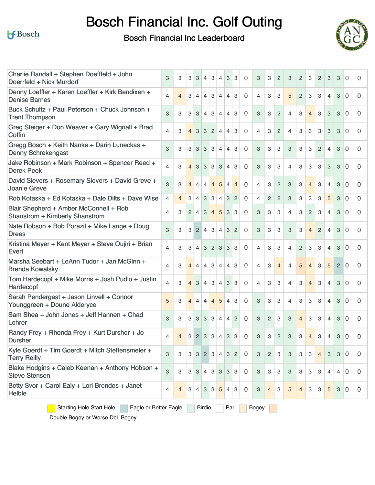

# Bosch Financial Inc. Golf Outing

Bosch Financial Inc Leaderboard



| Charlie Randall + Stephen Doefffeld + John                                      | 3                         | 3              | 3              | 3              | $\overline{4}$  | 3              | $\overline{4}$ | 3              | 3              | 0        | 3                         | 3              | $\overline{2}$ | 3              | $\overline{2}$ | 3              | $\mathbf{2}$   | 3              | 3              | 0              | 0 |
|---------------------------------------------------------------------------------|---------------------------|----------------|----------------|----------------|-----------------|----------------|----------------|----------------|----------------|----------|---------------------------|----------------|----------------|----------------|----------------|----------------|----------------|----------------|----------------|----------------|---|
| Doerrfeld + Nick Murdorf<br>Denny Loeffler + Karen Loeffler + Kirk Bendixen +   |                           |                |                |                |                 |                |                |                |                |          |                           |                |                |                |                |                |                |                |                |                |   |
| <b>Denise Barnes</b>                                                            | 4                         | $\overline{4}$ | 3              | $\overline{4}$ | $\overline{4}$  | 3              | $\overline{4}$ | $\overline{4}$ | 3              | $\Omega$ | 4                         | 3              | 3              | 5              | $\overline{2}$ | 3              | 3              | $\overline{4}$ | 3              | $\Omega$       | 0 |
| Buck Schultz + Paul Peterson + Chuck Johnson +<br><b>Trent Thompson</b>         | 3                         | 3              | 3 <sup>1</sup> | 3              | 4               | 3              | $\overline{4}$ | $\overline{4}$ | 3              | $\Omega$ | 3                         | 3              | $\overline{2}$ | $\overline{4}$ | 3              | $\overline{4}$ | З              | 3              | 3              | $\Omega$       | 0 |
| Greg Steiger + Don Weaver + Gary Wignall + Brad<br>Coffin                       | 4                         | 3              | $\overline{4}$ | 3              | $\mathbf{3}$    | $\overline{2}$ | $\overline{4}$ | $\overline{4}$ | 3              | $\Omega$ | 4                         | 3              | $\overline{2}$ | 4              | 3              | 3              | 3              | 3              | 3              | $\Omega$       | 0 |
| Gregg Bosch + Keith Nanke + Darin Luneckas +<br><b>Denny Schrekengast</b>       | 3                         | 3              | 3              | 3              | $\overline{3}$  | $\mathbf{3}$   | $\overline{4}$ | $\overline{4}$ | 3              | $\Omega$ | 3                         | 3              | 3              | 3              | 3              | 3              | 2              | $\overline{4}$ | 3              | $\Omega$       | 0 |
| Jake Robinson + Mark Robinson + Spencer Reed +<br><b>Derek Peek</b>             | 4                         | 3              | 4              | 3              | 3               | 3              | 3              | $\overline{4}$ | 3              | $\Omega$ | 3                         | 3              | 3              | 4              | 3              | 3              | 3              | 3              | 3              | $\Omega$       | 0 |
| David Sievers + Rosemary Sievers + David Greve +<br><b>Joanie Greve</b>         | 3                         | 3              | $\overline{4}$ | $\overline{4}$ | $\overline{4}$  | $\overline{4}$ | 5              | $\overline{4}$ | $\overline{4}$ | $\Omega$ | $\overline{4}$            | 3              | $\overline{c}$ | 3              | 3              | $\overline{4}$ | 3              | $\overline{4}$ | 3              | $\Omega$       | 0 |
| Rob Kotaska + Ed Kotaska + Dale Dilts + Dave Wise                               | 4                         | $\overline{4}$ | 3              | $\overline{4}$ | 3 <sup>1</sup>  | $\mathbf{3}$   | $\overline{4}$ | 3              | $\overline{2}$ | $\Omega$ | $\overline{4}$            | $\overline{c}$ | $\overline{c}$ | 3              | 3              | 3              | 3              | 5              | 3              | $\overline{0}$ | 0 |
| Blair Shepherd + Amber McConnell + Rob<br><b>Shanstrom + Kimberly Shanstrom</b> | 4                         | 3              | $\overline{2}$ | $\overline{4}$ | 3               | 4              | 5              | 3              | 3              | $\Omega$ | 3                         | 3              | 3              | $\overline{4}$ | 3              | 2              | 3              | 4              | 3              | $\Omega$       | 0 |
| Nate Robson + Bob Porazil + Mike Lange + Doug<br><b>Drees</b>                   | 3                         | 3              | 3              | 2              | $\vert 4 \vert$ | $\mathbf{3}$   | $\overline{4}$ | 3              | $\overline{2}$ | 0        | 3                         | 3              | 3              | 3              | 3              | $\overline{4}$ | $\overline{c}$ | $\overline{4}$ | 3              | $\Omega$       | 0 |
| Kristina Meyer + Kent Meyer + Steve Oujiri + Brian<br>Evert                     | 4                         | 3              | З              | $\overline{4}$ | 3               | 2 <sup>1</sup> | 3              | 3              | 3              | $\Omega$ | $\overline{4}$            | 3              | 3              | 4              | 2              | 3              | 3              | $\overline{4}$ | 3              | $\Omega$       | 0 |
| Marsha Seebart + LeAnn Tudor + Jan McGinn +<br><b>Brenda Kowalsky</b>           | 4                         | 3              | $\overline{4}$ | $\overline{4}$ | $\overline{4}$  | 3              | $\overline{4}$ | 4              | 3              | $\Omega$ | $\overline{4}$            | 3              | $\overline{4}$ | 4              | 5              | $\overline{4}$ | 3              | 5              | $\overline{2}$ | $\Omega$       | 0 |
| Tom Hardecopf + Mike Morris + Josh Pudlo + Justin<br>Hardecopf                  | 4                         | 3              | $\overline{4}$ | 3              | $\vert$ 4       | 3              | $\overline{4}$ | 3              | 3              | $\Omega$ | 4                         | 3              | 3              | 4              | 3              | $\overline{4}$ | 3              | $\overline{4}$ | 3              | $\Omega$       | 0 |
| Sarah Pendergast + Jason Linvell + Connor<br>Younggreen + Doune Alderyce        | 5                         | 3              | $\overline{4}$ | $\overline{4}$ | $\vert$ 4       | $\overline{4}$ | 5              | $\overline{4}$ | 3              | $\Omega$ | 3                         | 3              | 3              | 4              | 3              | 3              | 3              | $\overline{4}$ | 3              | $\Omega$       | 0 |
| Sam Shea + John Jones + Jeff Hannen + Chad<br>Lohrer                            | 3                         | 3              | 3              | 3              | $\mathbf{3}$    | 3              | $\overline{4}$ | $\overline{4}$ | $\overline{c}$ | $\Omega$ | $\ensuremath{\mathsf{3}}$ | $\mathbf{2}$   | 3              | 3              | $\overline{4}$ | 3              | 3              | $\overline{4}$ | 3              | $\Omega$       | 0 |
| Randy Frey + Rhonda Frey + Kurt Dursher + Jo<br><b>Dursher</b>                  | 4                         | $\overline{4}$ | 3 <sup>1</sup> | $\overline{2}$ | $\vert$ 3       | 3              | $\overline{4}$ | 3              | 3              | $\Omega$ | 3                         | 3              | $\overline{2}$ | 3              | 3              | $\overline{4}$ | 3              | 4              | 3              | $\Omega$       | 0 |
| Kyle Goerdt + Tim Goerdt + Mitch Steffensmeier +<br><b>Terry Reilly</b>         | 3                         | 3              | 3              | 3              | $\overline{2}$  | 3              | $\overline{4}$ | 3              | $\overline{2}$ | 0        | 3                         | 2              | 3              | 3              | 3              | 3              | $\overline{4}$ | 3              | 3              | $\overline{0}$ | 0 |
| Blake Hodgins + Caleb Keenan + Anthony Hobson +<br><b>Steve Stensen</b>         | $\ensuremath{\mathsf{3}}$ | 3              | 3 <sup>1</sup> | 3              | 4               | 3 <sup>1</sup> | 3 <sup>1</sup> | 3              | 3              | 0        | 3                         | 3              | 3              | 3              | 3              | 3              | 3              | 4              | 4              | $\overline{0}$ | 0 |
| Betty Svor + Carol Ealy + Lori Brendes + Janet<br>Helble                        | 4                         | $\overline{4}$ | 3              | 4              | 3               | 3              | 5              | 4              | 3              | 0        | 3                         | 4              | 3              | 5              | 4              | 3              | 3              | 5              | 3              | $\overline{0}$ | 0 |
| <b>Starting Hole Start Hole</b><br>Eagle or Better Eagle                        |                           |                |                |                | <b>Birdie</b>   |                |                | Par            |                |          | <b>Bogey</b>              |                |                |                |                |                |                |                |                |                |   |

Double Bogey or Worse Dbl. Bogey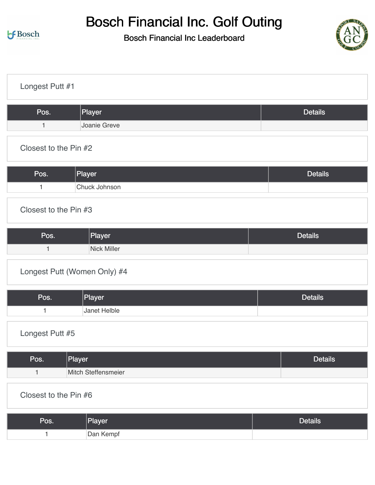# Bosch Financial Inc. Golf Outing



| Longest Putt #1                     |                |
|-------------------------------------|----------------|
| Player<br>Pos.                      | <b>Details</b> |
| Joanie Greve<br>$\mathbf{1}$        |                |
| Closest to the Pin #2               |                |
| Player<br>Pos.                      | <b>Details</b> |
| Chuck Johnson<br>$\mathbf{1}$       |                |
| Closest to the Pin #3               |                |
| Pos.<br>Player                      | <b>Details</b> |
| <b>Nick Miller</b><br>$\mathbf{1}$  |                |
| Longest Putt (Women Only) #4        |                |
| Player<br>Pos.                      | <b>Details</b> |
| Janet Helble<br>1                   |                |
| Longest Putt #5                     |                |
| Player<br>Pos.                      | <b>Details</b> |
| $\mathbf{1}$<br>Mitch Steffensmeier |                |
| Closest to the Pin #6               |                |
| Player<br>Pos.                      | <b>Details</b> |
| Dan Kempf<br>$\mathbf{1}$           |                |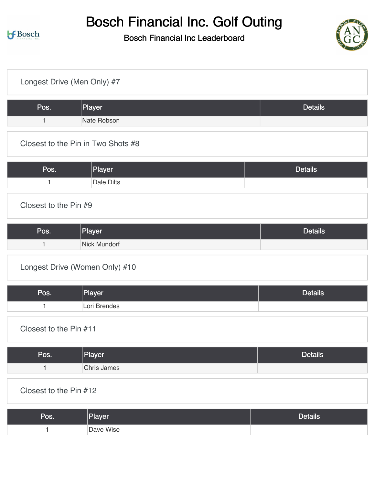

| Longest Drive (Men Only) #7 |                                    |                |
|-----------------------------|------------------------------------|----------------|
| Pos.                        | Player                             | <b>Details</b> |
| $\mathbf{1}$                | Nate Robson                        |                |
|                             | Closest to the Pin in Two Shots #8 |                |
| Pos.                        | Player                             | <b>Details</b> |
| $\mathbf{1}$                | <b>Dale Dilts</b>                  |                |
| Closest to the Pin #9       |                                    |                |
| Pos.                        | Player                             | <b>Details</b> |
| $\mathbf{1}$                | Nick Mundorf                       |                |
|                             | Longest Drive (Women Only) #10     |                |
| Pos.                        | Player                             | <b>Details</b> |
| $\mathbf{1}$                | Lori Brendes                       |                |
| Closest to the Pin #11      |                                    |                |
| Pos.                        | Player                             | <b>Details</b> |
| $\mathbf{1}$                | <b>Chris James</b>                 |                |
| Closest to the Pin #12      |                                    |                |
| Pos.                        | Player                             | <b>Details</b> |
| $\mathbf{1}$                | Dave Wise                          |                |
|                             |                                    |                |